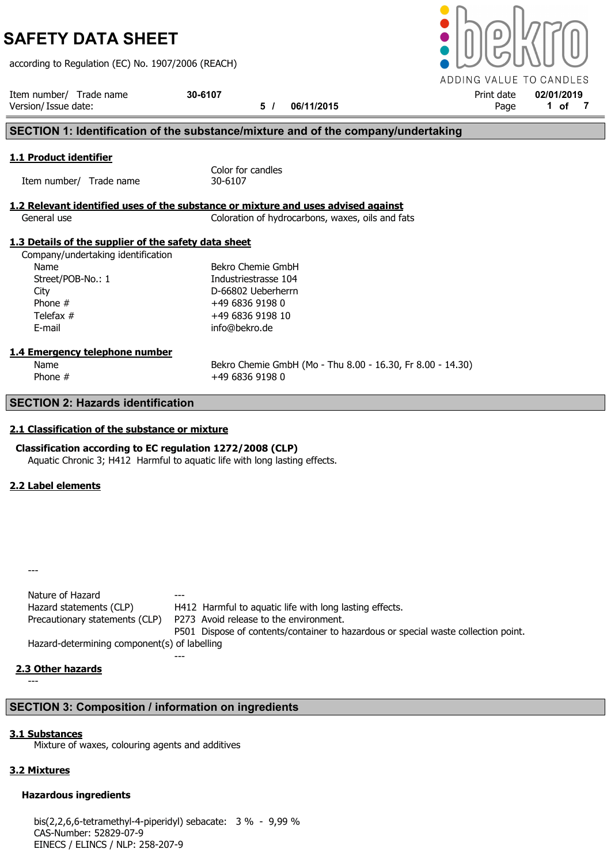according to Regulation (EC) No. 1907/2006 (REACH)

Item number/ Trade name 30-6107 <br>
Version/Issue date: 02/01/2019 106/11/2015 Print date 02/01/2019 9 Print date 1 of Version/ Issue date: 5 / 06/11/2015 Page 1 of 7 SECTION 1: Identification of the substance/mixture and of the company/undertaking 1.1 Product identifier Color for candles Item number/ Trade name 30-6107 1.2 Relevant identified uses of the substance or mixture and uses advised against General use Coloration of hydrocarbons, waxes, oils and fats 1.3 Details of the supplier of the safety data sheet Company/undertaking identification Name Bekro Chemie GmbH Street/POB-No.: 1 Industriestrasse 104 City D-66802 Ueberherrn Phone #  $+49683691980$ Telefax #  $+49\,6836\,9198\,10$ E-mail info@bekro.de 1.4 Emergency telephone number Name **Bekro Chemie GmbH** (Mo - Thu 8.00 - 16.30, Fr 8.00 - 14.30) Phone #  $+49\,6836\,9198\,0$ SECTION 2: Hazards identification

## 2.1 Classification of the substance or mixture

Classification according to EC regulation 1272/2008 (CLP) Aquatic Chronic 3; H412 Harmful to aquatic life with long lasting effects.

## 2.2 Label elements

---

Nature of Hazard Hazard statements (CLP) H412 Harmful to aquatic life with long lasting effects. Precautionary statements (CLP) P273 Avoid release to the environment. P501 Dispose of contents/container to hazardous or special waste collection point. Hazard-determining component(s) of labelling

## 2.3 Other hazards

---

# SECTION 3: Composition / information on ingredients

---

## 3.1 Substances

Mixture of waxes, colouring agents and additives

# 3.2 Mixtures

# Hazardous ingredients

bis(2,2,6,6-tetramethyl-4-piperidyl) sebacate: 3 % - 9,99 % CAS-Number: 52829-07-9 EINECS / ELINCS / NLP: 258-207-9

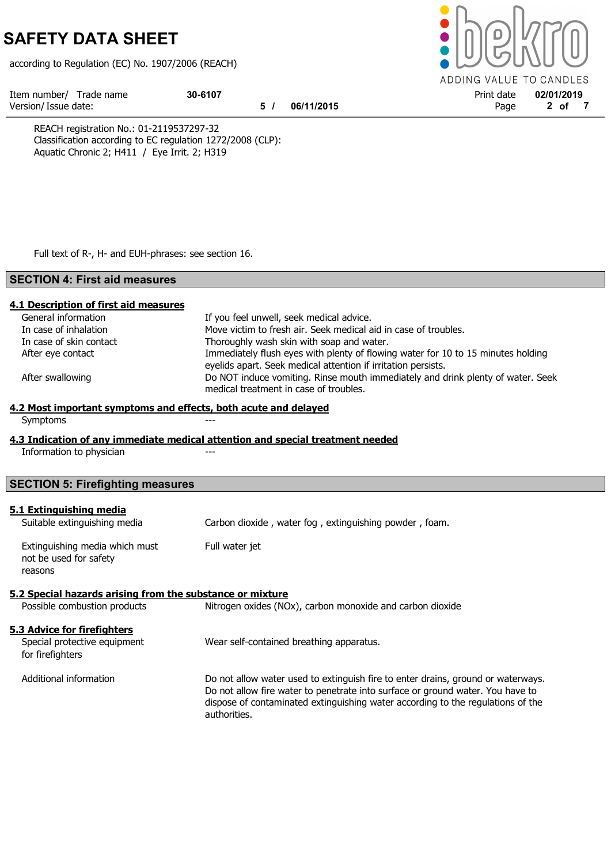according to Regulation (EC) No. 1907/2006 (REACH)



REACH registration No.: 01-2119537297-32 Classification according to EC regulation 1272/2008 (CLP): Aquatic Chronic 2; H411 / Eye Irrit. 2; H319

Full text of R-, H- and EUH-phrases: see section 16.

## SECTION 4: First aid measures

| 4.1 Description of first aid measures                           |                                                                                  |  |  |  |  |
|-----------------------------------------------------------------|----------------------------------------------------------------------------------|--|--|--|--|
| General information                                             | If you feel unwell, seek medical advice.                                         |  |  |  |  |
| In case of inhalation                                           | Move victim to fresh air. Seek medical aid in case of troubles.                  |  |  |  |  |
| In case of skin contact                                         | Thoroughly wash skin with soap and water.                                        |  |  |  |  |
| After eye contact                                               | Immediately flush eyes with plenty of flowing water for 10 to 15 minutes holding |  |  |  |  |
|                                                                 | eyelids apart. Seek medical attention if irritation persists.                    |  |  |  |  |
| After swallowing                                                | Do NOT induce vomiting. Rinse mouth immediately and drink plenty of water. Seek  |  |  |  |  |
| medical treatment in case of troubles.                          |                                                                                  |  |  |  |  |
| 4.2 Most important symptoms and effects, both acute and delayed |                                                                                  |  |  |  |  |
| Symptoms                                                        |                                                                                  |  |  |  |  |
|                                                                 | 4.3 Indication of any immediate medical attention and special treatment needed   |  |  |  |  |
| Information to physician                                        |                                                                                  |  |  |  |  |
|                                                                 |                                                                                  |  |  |  |  |
| <b>SECTION 5: Firefighting measures</b>                         |                                                                                  |  |  |  |  |
|                                                                 |                                                                                  |  |  |  |  |
| 5.1 Extinguishing media                                         |                                                                                  |  |  |  |  |
| Suitable extinguishing media                                    | Carbon dioxide, water fog, extinguishing powder, foam.                           |  |  |  |  |
| Extinguishing media which must                                  | Full water jet                                                                   |  |  |  |  |
| not be used for safety                                          |                                                                                  |  |  |  |  |
| reasons                                                         |                                                                                  |  |  |  |  |
|                                                                 |                                                                                  |  |  |  |  |
| 5.2 Special hazards arising from the substance or mixture       |                                                                                  |  |  |  |  |
| Possible combustion products                                    | Nitrogen oxides (NOx), carbon monoxide and carbon dioxide                        |  |  |  |  |
|                                                                 |                                                                                  |  |  |  |  |
| 5.3 Advice for firefighters                                     |                                                                                  |  |  |  |  |
| Special protective equipment                                    | Wear self-contained breathing apparatus.                                         |  |  |  |  |
| for firefighters                                                |                                                                                  |  |  |  |  |
| Additional information                                          | Do not allow water used to extinguish fire to enter drains, ground or waterways. |  |  |  |  |
|                                                                 | Do not allow fire water to penetrate into surface or ground water. You have to   |  |  |  |  |
|                                                                 | dispose of contaminated extinguishing water according to the regulations of the  |  |  |  |  |
|                                                                 | authorities.                                                                     |  |  |  |  |
|                                                                 |                                                                                  |  |  |  |  |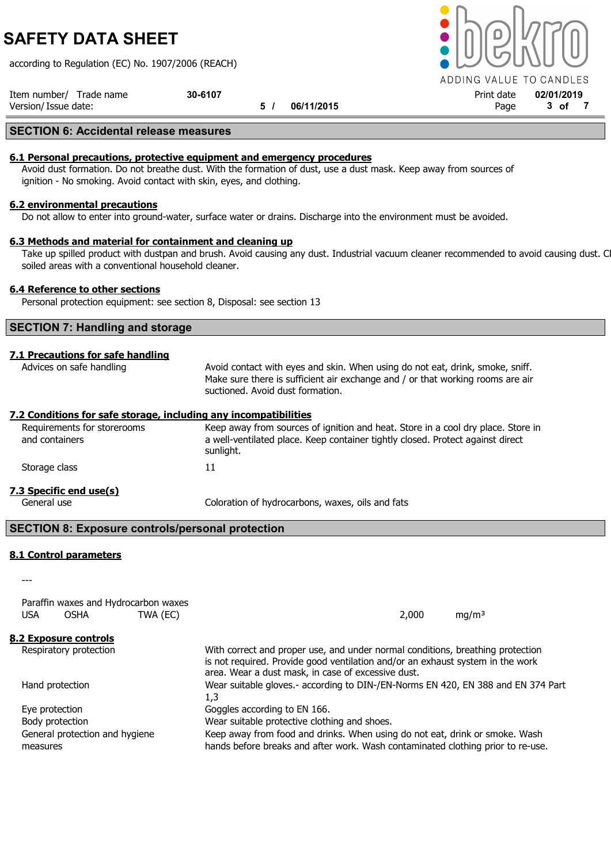according to Regulation (EC) No. 1907/2006 (REACH)

Item number/ Trade name  $30-6107$  30-6107 **Print date**  $02/01/2019$ Version/ Issue date: 5 / 06/11/2015 Page 3 of 7

## SECTION 6: Accidental release measures

#### 6.1 Personal precautions, protective equipment and emergency procedures

Avoid dust formation. Do not breathe dust. With the formation of dust, use a dust mask. Keep away from sources of ignition - No smoking. Avoid contact with skin, eyes, and clothing.

## 6.2 environmental precautions

Do not allow to enter into ground-water, surface water or drains. Discharge into the environment must be avoided.

#### 6.3 Methods and material for containment and cleaning up

Take up spilled product with dustpan and brush. Avoid causing any dust. Industrial vacuum cleaner recommended to avoid causing dust. Clean soiled areas with a conventional household cleaner.

## 6.4 Reference to other sections

Personal protection equipment: see section 8, Disposal: see section 13

## SECTION 7: Handling and storage

## 7.1 Precautions for safe handling

Advices on safe handling **Avoid contact with eyes and skin. When using do not eat, drink, smoke, sniff.** Make sure there is sufficient air exchange and / or that working rooms are air suctioned. Avoid dust formation.

#### 7.2 Conditions for safe storage, including any incompatibilities

Requirements for storerooms Keep away from sources of ignition and heat. Store in a cool dry place. Store in and containers a well-ventilated place. Keep container tightly closed. Protect against direct sunlight. Storage class 11 7.3 Specific end use(s) General use Coloration of hydrocarbons, waxes, oils and fats

## SECTION 8: Exposure controls/personal protection

## 8.1 Control parameters

Paraffin waxes and Hydrocarbon waxes

---

| TWA (EC)<br><b>USA</b><br><b>OSHA</b>                           | 2,000<br>mg/m <sup>3</sup>                                                                                                                                                                                             |
|-----------------------------------------------------------------|------------------------------------------------------------------------------------------------------------------------------------------------------------------------------------------------------------------------|
| 8.2 Exposure controls                                           |                                                                                                                                                                                                                        |
| Respiratory protection                                          | With correct and proper use, and under normal conditions, breathing protection<br>is not required. Provide good ventilation and/or an exhaust system in the work<br>area. Wear a dust mask, in case of excessive dust. |
| Hand protection<br>1,3                                          | Wear suitable gloves.- according to DIN-/EN-Norms EN 420, EN 388 and EN 374 Part                                                                                                                                       |
| Goggles according to EN 166.<br>Eye protection                  |                                                                                                                                                                                                                        |
| Wear suitable protective clothing and shoes.<br>Body protection |                                                                                                                                                                                                                        |
| General protection and hygiene<br>measures                      | Keep away from food and drinks. When using do not eat, drink or smoke. Wash<br>hands before breaks and after work. Wash contaminated clothing prior to re-use.                                                         |

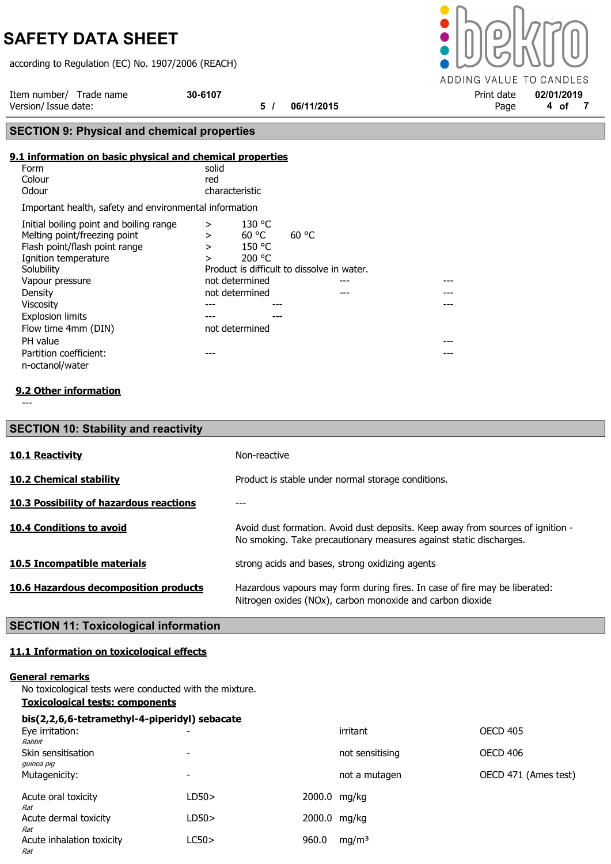according to Regulation (EC) No. 1907/2006 (REACH)

ADDING VALUE TO CANDLES

Item number/ Trade name 30-6107<br>Version/Issue date: 02/01/2019 19/06/11/2015 Page 4 of 7 Version/ Issue date: 5 / 06/11/2015 Page 4 of 7

# SECTION 9: Physical and chemical properties

## 9.1 information on basic physical and chemical properties

| Form                                                   | solid          |
|--------------------------------------------------------|----------------|
| Colour                                                 | red            |
| Odour                                                  | characteristic |
| Important health, safety and environmental information |                |

| Initial boiling point and boiling range | >              | 130 °C |                                            |  |
|-----------------------------------------|----------------|--------|--------------------------------------------|--|
| Melting point/freezing point            | >              | 60 °C  | 60 °C                                      |  |
| Flash point/flash point range           | >              | 150 °C |                                            |  |
| Ignition temperature                    | >              | 200 °C |                                            |  |
| Solubility                              |                |        | Product is difficult to dissolve in water. |  |
| Vapour pressure                         | not determined |        |                                            |  |
| Density                                 | not determined |        |                                            |  |
| <b>Viscosity</b>                        |                |        |                                            |  |
| <b>Explosion limits</b>                 |                |        |                                            |  |
| Flow time 4mm (DIN)                     | not determined |        |                                            |  |
| PH value                                |                |        |                                            |  |
| Partition coefficient:                  |                |        |                                            |  |
| n-octanol/water                         |                |        |                                            |  |

## 9.2 Other information

| <b>SECTION 10: Stability and reactivity</b>    |                                                                                                                                                       |
|------------------------------------------------|-------------------------------------------------------------------------------------------------------------------------------------------------------|
| <b>10.1 Reactivity</b>                         | Non-reactive                                                                                                                                          |
| <b>10.2 Chemical stability</b>                 | Product is stable under normal storage conditions.                                                                                                    |
| <b>10.3 Possibility of hazardous reactions</b> |                                                                                                                                                       |
| <b>10.4 Conditions to avoid</b>                | Avoid dust formation. Avoid dust deposits. Keep away from sources of ignition -<br>No smoking. Take precautionary measures against static discharges. |
| <b>10.5 Incompatible materials</b>             | strong acids and bases, strong oxidizing agents                                                                                                       |
| 10.6 Hazardous decomposition products          | Hazardous vapours may form during fires. In case of fire may be liberated:<br>Nitrogen oxides (NOx), carbon monoxide and carbon dioxide               |

# SECTION 11: Toxicological information

# 11.1 Information on toxicological effects

## General remarks

No toxicological tests were conducted with the mixture.

# Toxicological tests: components

| bis(2,2,6,6-tetramethyl-4-piperidyl) sebacate |                          |              |                   |                      |
|-----------------------------------------------|--------------------------|--------------|-------------------|----------------------|
| Eye irritation:                               | $\overline{\phantom{0}}$ |              | irritant          | <b>OECD 405</b>      |
| Rabbit<br>Skin sensitisation<br>guinea pig    | $\overline{\phantom{0}}$ |              | not sensitising   | <b>OECD 406</b>      |
| Mutagenicity:                                 | $\overline{\phantom{0}}$ |              | not a mutagen     | OECD 471 (Ames test) |
| Acute oral toxicity<br>Rat                    | LD50>                    | 2000.0 mg/kg |                   |                      |
| Acute dermal toxicity<br>Rat                  | LD50>                    | 2000.0 mg/kg |                   |                      |
| Acute inhalation toxicity<br>Rat              | LC50>                    | 960.0        | mg/m <sup>3</sup> |                      |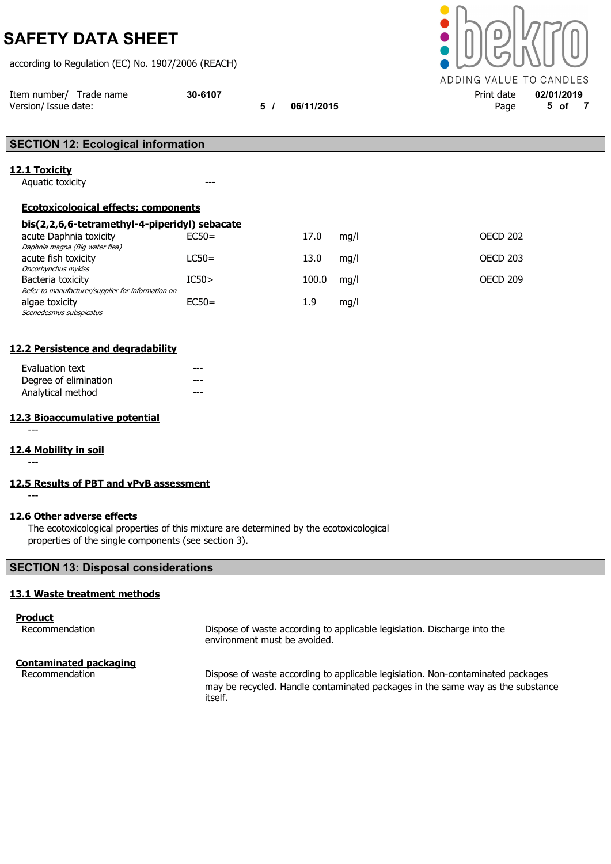according to Regulation (EC) No. 1907/2006 (REACH)



| Version/ Issue date:                                                   |         | 5/ | 06/11/2015 |      | Page            | 5 of 7 |
|------------------------------------------------------------------------|---------|----|------------|------|-----------------|--------|
|                                                                        |         |    |            |      |                 |        |
| <b>SECTION 12: Ecological information</b>                              |         |    |            |      |                 |        |
| 12.1 Toxicity                                                          |         |    |            |      |                 |        |
| Aquatic toxicity                                                       | ---     |    |            |      |                 |        |
| <b>Ecotoxicological effects: components</b>                            |         |    |            |      |                 |        |
| bis(2,2,6,6-tetramethyl-4-piperidyl) sebacate                          |         |    |            |      |                 |        |
| acute Daphnia toxicity<br>Daphnia magna (Big water flea)               | $EC50=$ |    | 17.0       | mg/l | <b>OECD 202</b> |        |
| acute fish toxicity<br>Oncorhynchus mykiss                             | $LC50=$ |    | 13.0       | mg/l | <b>OECD 203</b> |        |
| Bacteria toxicity<br>Refer to manufacturer/supplier for information on | IC50>   |    | 100.0      | mg/l | OECD 209        |        |
| algae toxicity<br>Scenedesmus subspicatus                              | $EC50=$ |    | 1.9        | mg/l |                 |        |

## 12.2 Persistence and degradability

| Evaluation text       |  |
|-----------------------|--|
| Degree of elimination |  |
| Analytical method     |  |

## 12.3 Bioaccumulative potential

---

## 12.4 Mobility in soil

---

---

## 12.5 Results of PBT and vPvB assessment

12.6 Other adverse effects

The ecotoxicological properties of this mixture are determined by the ecotoxicological properties of the single components (see section 3).

## SECTION 13: Disposal considerations

## 13.1 Waste treatment methods

Product

Recommendation Dispose of waste according to applicable legislation. Discharge into the environment must be avoided.

## Contaminated packaging

Recommendation Dispose of waste according to applicable legislation. Non-contaminated packages may be recycled. Handle contaminated packages in the same way as the substance itself.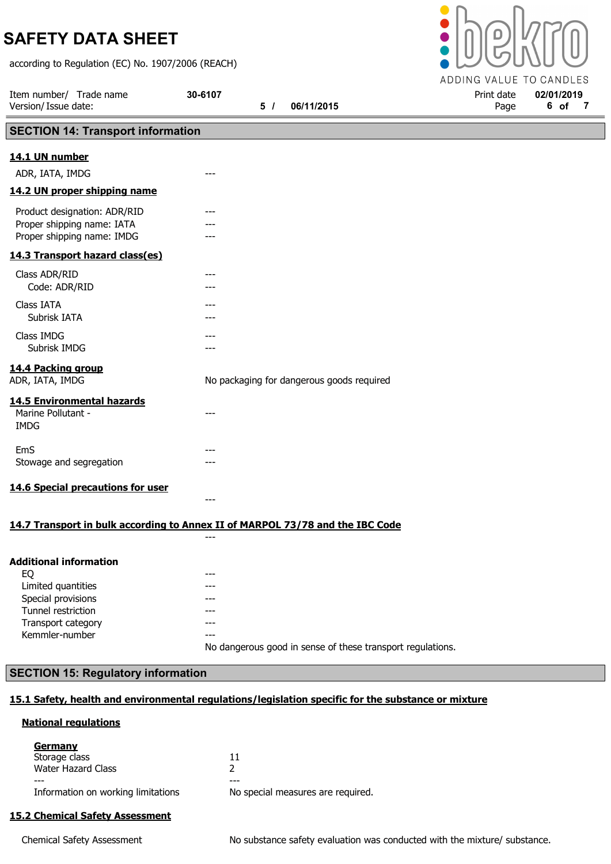according to Regulation (EC) No. 1907/2006 (REACH)



Transport category **Fransport** category

Kemmler-number **---**

No dangerous good in sense of these transport regulations.

## SECTION 15: Regulatory information

## 15.1 Safety, health and environmental regulations/legislation specific for the substance or mixture

## National regulations

| 11                                |
|-----------------------------------|
|                                   |
| ---                               |
| No special measures are required. |
|                                   |

## 15.2 Chemical Safety Assessment

Chemical Safety Assessment No substance safety evaluation was conducted with the mixture/ substance.